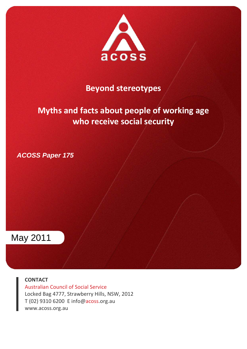

## **Beyond stereotypes**

# **Myths and facts about people of working age who receive social security**

*ACOSS Paper 175* 



**CONTACT**

Australian Council of Social Service Locked Bag 4777, Strawberry Hills, NSW, 2012 T (02) 9310 6200 E info@acoss.org.au www.acoss.org.au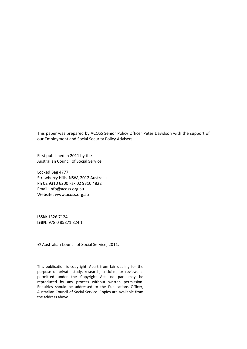This paper was prepared by ACOSS Senior Policy Officer Peter Davidson with the support of our Employment and Social Security Policy Advisers

First published in 2011 by the Australian Council of Social Service

Locked Bag 4777 Strawberry Hills, NSW, 2012 Australia Ph 02 9310 6200 Fax 02 9310 4822 Email: info@acoss.org.au Website: www.acoss.org.au

**ISSN:** 1326 7124 **ISBN:** 978 0 85871 824 1

© Australian Council of Social Service, 2011.

This publication is copyright. Apart from fair dealing for the purpose of private study, research, criticism, or review, as permitted under the Copyright Act, no part may be reproduced by any process without written permission. Enquiries should be addressed to the Publications Officer, Australian Council of Social Service. Copies are available from the address above.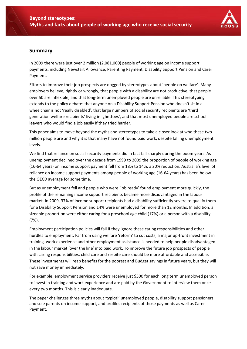

## **Summary**

In 2009 there were just over 2 million (2,081,000) people of working age on income support payments, including Newstart Allowance, Parenting Payment, Disability Support Pension and Carer Payment.

Efforts to improve their job prospects are dogged by stereotypes about 'people on welfare'. Many employers believe, rightly or wrongly, that people with a disability are not productive, that people over 50 are inflexible, and that long-term unemployed people are unreliable. This stereotyping extends to the policy debate: that anyone on a Disability Support Pension who doesn't sit in a wheelchair is not 'really disabled', that large numbers of social security recipients are 'third generation welfare recipients' living in 'ghettoes', and that most unemployed people are school leavers who would find a job easily if they tried harder.

This paper aims to move beyond the myths and stereotypes to take a closer look at who these two million people are and why it is that many have not found paid work, despite falling unemployment levels.

We find that reliance on social security payments did in fact fall sharply during the boom years. As unemployment declined over the decade from 1999 to 2009 the proportion of people of working age (16‐64 years) on income support payment fell from 18% to 14%, a 20% reduction. Australia's level of reliance on income support payments among people of working age (16‐64 years) has been below the OECD average for some time.

But as unemployment fell and people who were 'job ready' found employment more quickly, the profile of the remaining income support recipients became more disadvantaged in the labour market. In 2009, 37% of income support recipients had a disability sufficiently severe to qualify them for a Disability Support Pension and 14% were unemployed for more than 12 months. In addition, a sizeable proportion were either caring for a preschool age child (17%) or a person with a disability (7%).

Employment participation policies will fail if they ignore these caring responsibilities and other hurdles to employment. Far from using welfare 'reform' to cut costs, a major up-front investment in training, work experience and other employment assistance is needed to help people disadvantaged in the labour market 'over the line' into paid work. To improve the future job prospects of people with caring responsibilities, child care and respite care should be more affordable and accessible. These investments will reap benefits for the poorest and Budget savings in future years, but they will not save money immediately.

For example, employment service providers receive just \$500 for each long term unemployed person to invest in training and work experience and are paid by the Government to interview them once every two months. This is clearly inadequate.

The paper challenges three myths about 'typical' unemployed people, disability support pensioners, and sole parents on income support, and profiles recipients of those payments as well as Carer Payment.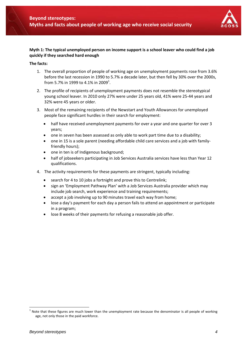

#### **Myth 1: The typical unemployed person on income support is a school leaver who could find a job quickly if they searched hard enough**

#### **The facts:**

- 1. The overall proportion of people of working age on unemployment payments rose from 3.6% before the last recession in 1990 to 5.7% a decade later, but then fell by 30% over the 2000s, from 5.7% in 1999 to 4.1% in 2009<sup>1</sup>.
- 2. The profile of recipients of unemployment payments does not resemble the stereotypical young school leaver. In 2010 only 27% were under 25 years old, 41% were 25‐44 years and 32% were 45 years or older.
- 3. Most of the remaining recipients of the Newstart and Youth Allowances for unemployed people face significant hurdles in their search for employment:
	- half have received unemployment payments for over a year and one quarter for over 3 years;
	- one in seven has been assessed as only able to work part time due to a disability;
	- one in 15 is a sole parent (needing affordable child care services and a job with family‐ friendly hours);
	- one in ten is of Indigenous background;
	- half of jobseekers participating in Job Services Australia services have less than Year 12 qualifications.
- 4. The activity requirements for these payments are stringent, typically including:
	- search for 4 to 10 jobs a fortnight and prove this to Centrelink;
	- sign an 'Employment Pathway Plan' with a Job Services Australia provider which may include job search, work experience and training requirements;
	- accept a job involving up to 90 minutes travel each way from home;
	- lose a day's payment for each day a person fails to attend an appointment or participate in a program;
	- lose 8 weeks of their payments for refusing a reasonable job offer.

 $<sup>1</sup>$  Note that these figures are much lower than the unemployment rate because the denominator is all people of working</sup> age, not only those in the paid workforce.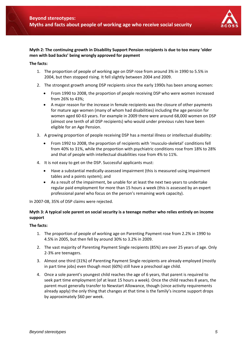![](_page_4_Picture_1.jpeg)

#### **Myth 2: The continuing growth in Disability Support Pension recipients is due to too many 'older men with bad backs' being wrongly approved for payment**

#### **The facts:**

- 1. The proportion of people of working age on DSP rose from around 3% in 1990 to 5.5% in 2004, but then stopped rising. It fell slightly between 2004 and 2009.
- 2. The strongest growth among DSP recipients since the early 1990s has been among women:
	- From 1990 to 2008, the proportion of people receiving DSP who were women increased from 26% to 43%;
	- A major reason for the increase in female recipients was the closure of other payments for mature age women (many of whom had disabilities) including the age pension for women aged 60‐63 years. For example in 2009 there were around 68,000 women on DSP (almost one tenth of all DSP recipients) who would under previous rules have been eligible for an Age Pension.
- 3. A growing proportion of people receiving DSP has a mental illness or intellectual disability:
	- From 1992 to 2008, the proportion of recipients with 'musculo-skeletal' conditions fell from 40% to 31%, while the proportion with psychiatric conditions rose from 18% to 28% and that of people with intellectual disabilities rose from 4% to 11%.
- 4. It is not easy to get on the DSP. Successful applicants must:
	- Have a substantial medically‐assessed impairment (this is measured using impairment tables and a points system); and
	- As a result of the impairment, be unable for at least the next two years to undertake regular paid employment for more than 15 hours a week (this is assessed by an expert professional panel who focus on the person's remaining work capacity).

In 2007‐08, 35% of DSP claims were rejected.

#### **Myth 3: A typical sole parent on social security is a teenage mother who relies entirely on income support**

#### **The facts:**

- 1. The proportion of people of working age on Parenting Payment rose from 2.2% in 1990 to 4.5% in 2005, but then fell by around 30% to 3.2% in 2009.
- 2. The vast majority of Parenting Payment Single recipients (85%) are over 25 years of age. Only 2‐3% are teenagers.
- 3. Almost one third (31%) of Parenting Payment Single recipients are already employed (mostly in part time jobs) even though most (60%) still have a preschool age child.
- 4. Once a sole parent's youngest child reaches the age of 6 years, that parent is required to seek part time employment (of at least 15 hours a week). Once the child reaches 8 years, the parent must generally transfer to Newstart Allowance, though (since activity requirements already apply) the only thing that changes at that time is the family's income support drops by approximately \$60 per week.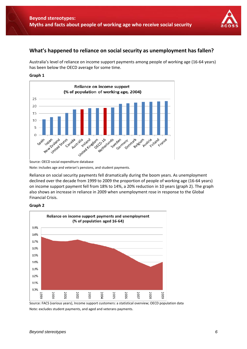![](_page_5_Picture_1.jpeg)

## **What's happened to reliance on social security as unemployment has fallen?**

Australia's level of reliance on income support payments among people of working age (16‐64 years) has been below the OECD average for some time.

#### **Graph 1**

![](_page_5_Figure_5.jpeg)

Source: OECD social expenditure database

Note: includes age and veteran's pensions, and student payments.

Reliance on social security payments fell dramatically during the boom years. As unemployment declined over the decade from 1999 to 2009 the proportion of people of working age (16‐64 years) on income support payment fell from 18% to 14%, a 20% reduction in 10 years (graph 2). The graph also shows an increase in reliance in 2009 when unemployment rose in response to the Global Financial Crisis.

#### **Graph 2**

![](_page_5_Figure_10.jpeg)

Source: FACS (various years), Income support customers: a statistical overview; OECD population data Note: excludes student payments, and aged and veterans payments.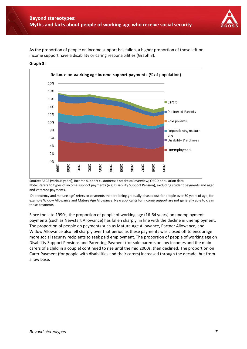![](_page_6_Picture_1.jpeg)

As the proportion of people on income support has fallen, a higher proportion of those left on income support have a disability or caring responsibilities (Graph 3).

![](_page_6_Figure_3.jpeg)

#### **Graph 3:**

Source: FACS (various years), Income support customers: a statistical overview; OECD population data Note: Refers to types of income support payments (e.g. Disability Support Pension), excluding student payments and aged and veterans payments.

'Dependency and mature age' refers to payments that are being gradually phased out for people over 50 years of age, for example Widow Allowance and Mature Age Allowance. New applicants for income support are not generally able to claim these payments.

Since the late 1990s, the proportion of people of working age (16‐64 years) on unemployment payments (such as Newstart Allowance) has fallen sharply, in line with the decline in unemployment. The proportion of people on payments such as Mature Age Allowance, Partner Allowance, and Widow Allowance also fell sharply over that period as these payments was closed off to encourage more social security recipients to seek paid employment. The proportion of people of working age on Disability Support Pensions and Parenting Payment (for sole parents on low incomes and the main carers of a child in a couple) continued to rise until the mid 2000s, then declined. The proportion on Carer Payment (for people with disabilities and their carers) increased through the decade, but from a low base.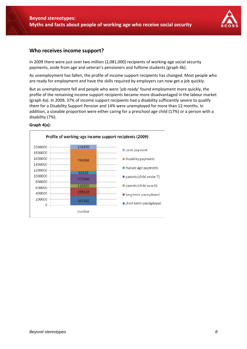![](_page_7_Picture_1.jpeg)

### **Who receives income support?**

In 2009 there were just over two million (2,081,000) recipients of working-age social security payments, aside from age and veteran's pensioners and fulltime students (graph 4b).

As unemployment has fallen, the profile of income support recipients has changed. Most people who are ready for employment and have the skills required by employers can now get a job quickly.

But as unemployment fell and people who were 'job ready' found employment more quickly, the profile of the remaining income support recipients became more disadvantaged in the labour market (graph 4a). In 2009, 37% of income support recipients had a disability sufficiently severe to qualify them for a Disability Support Pension and 14% were unemployed for more than 12 months. In addition, a sizeable proportion were either caring for a preschool age child (17%) or a person with a disability (7%).

![](_page_7_Figure_6.jpeg)

#### **Graph 4(a):**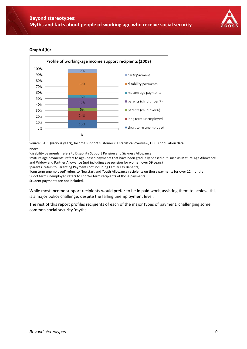![](_page_8_Picture_1.jpeg)

#### **Graph 4(b):**

![](_page_8_Figure_3.jpeg)

Source: FACS (various years), Income support customers: a statistical overview; OECD population data

Note:

'disability payments' refers to Disability Support Pension and Sickness Allowance

'mature age payments' refers to age‐ based payments that have been gradually phased out, such as Mature Age Allowance and Widow and Partner Allowance (not including age pension for women over 59 years)

'parents' refers to Parenting Payment (not including Family Tax Benefits)

'long term unemployed' refers to Newstart and Youth Allowance recipients on those payments for over 12 months 'short term unemployed refers to shorter term recipients of those payments

Student payments are not included.

While most income support recipients would prefer to be in paid work, assisting them to achieve this is a major policy challenge, despite the falling unemployment level.

The rest of this report profiles recipients of each of the major types of payment, challenging some common social security 'myths'.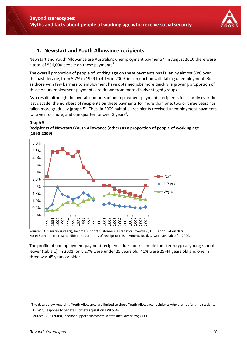![](_page_9_Picture_1.jpeg)

## **1. Newstart and Youth Allowance recipients**

Newstart and Youth Allowance are Australia's unemployment payments<sup>2</sup>. In August 2010 there were a total of 536,000 people on these payments<sup>3</sup>.

The overall proportion of people of working age on these payments has fallen by almost 30% over the past decade, from 5.7% in 1999 to 4.1% in 2009, in conjunction with falling unemployment. But as those with few barriers to employment have obtained jobs more quickly, a growing proportion of those on unemployment payments are drawn from more disadvantaged groups.

As a result, although the overall numbers of unemployment payments recipients fell sharply over the last decade, the numbers of recipients on these payments for more than one, two or three years has fallen more gradually (graph 5). Thus, in 2009 half of all recipients received unemployment payments for a year or more, and one quarter for over 3 years<sup>4</sup>.

#### **Graph 5:**

![](_page_9_Figure_7.jpeg)

![](_page_9_Figure_8.jpeg)

Source: FACS (various years), Income support customers: a statistical overview; OECD population data Note: Each line represents different durations of receipt of this payment. No data were available for 2000.

The profile of unemployment payment recipients does not resemble the stereotypical young school leaver (table 1). In 2001, only 27% were under 25 years old, 41% were 25‐44 years old and one in three was 45 years or older.

 $2$  The data below regarding Youth Allowance are limited to those Youth Allowance recipients who are not fulltime students.

<sup>&</sup>lt;sup>3</sup> DEEWR, Response to Senate Estimates question EW0534-1

<sup>4</sup> Source: FACS (2009), Income support customers: a statistical overview; OECD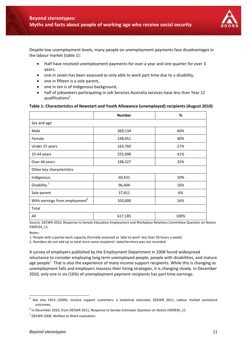![](_page_10_Picture_1.jpeg)

Despite low unemployment levels, many people on unemployment payments face disadvantages in the labour market (table 1):

- Half have received unemployment payments for over a year and one quarter for over 3 years,
- one in seven has been assessed as only able to work part time due to a disability,
- one in fifteen is a sole parent,
- one in ten is of Indigenous background,
- half of jobseekers participating in Job Services Australia services have less than Year 12 qualifications<sup>5</sup>.

#### **Table 1: Characteristics of Newstart and Youth Allowance (unemployed) recipients (August 2010)**

|                                            | <b>Number</b> | %    |  |  |
|--------------------------------------------|---------------|------|--|--|
| Sex and age                                |               |      |  |  |
| Male                                       | 369,134       | 60%  |  |  |
| Female                                     | 248,051       | 40%  |  |  |
| Under 25 years                             | 163,760       | 27%  |  |  |
| 25-44 years                                | 255,098       | 41%  |  |  |
| Over 44 years                              | 198,327       | 32%  |  |  |
| Other key characteristics                  |               |      |  |  |
| Indigenous                                 | 60,431        | 10%  |  |  |
| Disability <sup>1</sup>                    | 96,404        | 16%  |  |  |
| Sole parent                                | 37,811        | 6%   |  |  |
| With earnings from employment <sup>6</sup> | 103,000       | 16%  |  |  |
| Total                                      |               |      |  |  |
| All                                        | 617,185       | 100% |  |  |

Source: DEEWR 2010, Response to Senate Education Employment and Workplace Relations Committee Question on Notice EW0534\_11.

Notes:

-

1. People with a partial work capacity (formally assessed as 'able to work' less than 30 hours a week)

2. Numbers do not add up to total since some recipients' state/territory was not recorded.

A survey of employers published by the Employment Department in 2008 found widespread reluctance to consider employing long term unemployed people, people with disabilities, and mature age people<sup>7</sup>. That is also the experience of many income support recipients. While this is changing as unemployment falls and employers reassess their hiring strategies, it is changing slowly. In December 2010, only one in six (16%) of unemployment payment recipients has part time earnings.

<sup>&</sup>lt;sup>5</sup> See also FACS (2009), Income support customers: a statistical overview; DEEWR 2011, Labour market assistance outcomes.

 $6$  In December 2010, from DEEWR 2011, Response to Senate Estimates Question on Notice EW0930 11

<sup>7</sup> DEEWR 2008, Welfare to Work evaluation.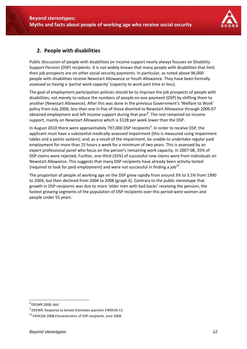![](_page_11_Picture_1.jpeg)

## **2. People with disabilities**

Public discussion of people with disabilities on income support nearly always focuses on Disability Support Pension (DSP) recipients. It is not widely known that many people with disabilities that limit their job prospects are on other social security payments. In particular, as noted above 96,000 people with disabilities receive Newstart Allowance or Youth Allowance. They have been formally assessed as having a 'partial work capacity' (capacity to work part time or less).

The goal of employment participation policies should be to improve the job prospects of people with disabilities, not merely to reduce the numbers of people on one payment (DSP) by shifting them to another (Newstart Allowance). After this was done in the previous Government's 'Welfare to Work' policy from July 2006, less than one in five of those diverted to Newstart Allowance through 2006‐07 obtained employment and left income support during that year<sup>8</sup>. The rest remained on income support, mainly on Newstart Allowance which is \$128 per week lower than the DSP.

In August 2010 there were approximately 797,000 DSP recipients<sup>9</sup>. In order to receive DSP, the applicant must have a substantial medically-assessed impairment (this is measured using impairment tables and a points system); and, as a result of the impairment, be unable to undertake regular paid employment for more than 15 hours a week for a minimum of two years. This is assessed by an expert professional panel who focus on the person's remaining work capacity. In 2007‐08, 35% of DSP claims were rejected. Further, one third (35%) of successful new claims were from individuals on Newstart Allowance. This suggests that many DSP recipients have already been activity‐tested (required to look for paid employment) and were not successful in finding a  $\text{job}^{10}$ .

The proportion of people of working age on the DSP grew rapidly from around 3% to 5.5% from 1990 to 2004, but then declined from 2004 to 2008 (graph 6). Contrary to the public stereotype that growth in DSP recipients was due to more 'older men with bad backs' receiving the pension, the fastest growing segments of the population of DSP recipients over this period were women and people under 55 years.

 $8$  DEEWR 2008, ibid.

 $9$  DEEWR, Response to Senate Estimates question EW0534-11.

<sup>10</sup> FAHCSIA 2008,Characteristics of DSP recipients, June 2008.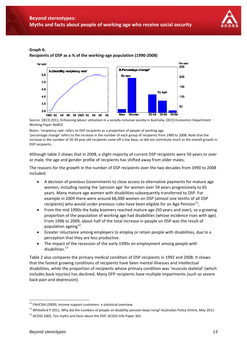![](_page_12_Picture_1.jpeg)

#### **Graph 6:**

**Recipients of DSP as a % of the working‐age population (1990‐2008)**

![](_page_12_Figure_4.jpeg)

Source: OECD 2011, Enhancing labour utilization in a socially inclusive society in Australia, OECD Economics Department Working Paper No852.

Notes: 'recipiency rate' refers to DSP recipients as a proportion of people of working age.

'percentage change' refers to the increase in the number of each group of recipients from 1990 to 2008. Note that the increase in the number of 20‐34 year old recipients came off a low base, so did not contribute much to the *overall* growth in DSP recipients.

Although table 2 shows that in 2008, a slight majority of current DSP recipients were 50 years or over or male, the age and gender profile of recipients has shifted away from older males.

The reasons for the growth in the number of DSP recipients over the two decades from 1990 to 2008 included:

- A decision of previous Governments to close access to alternative payments for mature age women, including raising the 'pension age' for women over 59 years progressively to 65 years. Many mature age women with disabilities subsequently transferred to DSP. For example in 2009 there were around 68,000 women on DSP (almost one tenths of all DSP recipients) who would under previous rules have been eligible for an Age Pension $^{11}$ ;
- From the mid 1990s the baby boomers reached mature age (50 years and over), so a growing proportion of the population of working age had disabilities (whose incidence rises with age). From 1996 to 2009, about half of the total increase in people on DSP was the result of population ageing $^{12}$ .
- Greater reluctance among employers to employ or retain people with disabilities, due to a perception that they are less productive.
- The impact of the recession of the early 1990s on employment among people with disabilities. $13$

Table 2 also compares the primary medical condition of DSP recipients in 1992 and 2008. It shows that the fastest growing conditions of recipients have been mental illnesses and intellectual disabilities, while the proportion of recipients whose primary condition was 'musculo skeletal' (which includes back injuries) has declined. Many DFP recipients have multiple impairments (such as severe back pain and depression).

 $11$  FAHCSIA (2009), Income support customers: a statistical overview.

 $12$  Whiteford P 2011, Why did the numbers of people on disability pension keep rising? Australian Policy Online, May 2011.

<sup>&</sup>lt;sup>13</sup> ACOSS 2005, Ten myths and facts about the DSP, ACOSS Info Paper 362.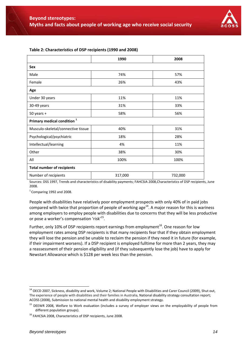![](_page_13_Picture_1.jpeg)

|                                        | 1990    | 2008    |  |
|----------------------------------------|---------|---------|--|
| <b>Sex</b>                             |         |         |  |
| Male                                   | 74%     | 57%     |  |
| Female                                 | 26%     | 43%     |  |
| Age                                    |         |         |  |
| Under 30 years                         | 11%     | 11%     |  |
| 30-49 years                            | 31%     | 33%     |  |
| $50$ years $+$                         | 58%     | 56%     |  |
| Primary medical condition <sup>1</sup> |         |         |  |
| Musculo-skeletal/connective tissue     | 40%     | 31%     |  |
| Psychological/psychiatric              | 18%     | 28%     |  |
| Intellectual/learning                  | 4%      | 11%     |  |
| Other                                  | 38%     | 30%     |  |
| All                                    | 100%    | 100%    |  |
| <b>Total number of recipients</b>      |         |         |  |
| Number of recipients                   | 317,000 | 732,000 |  |

#### **Table 2: Characteristics of DSP recipients (1990 and 2008)**

Sources: DSS 1997, Trends and characteristics of disability payments; FAHCSIA 2008,Characteristics of DSP recipients, June 2008.

 $<sup>1</sup>$  Comparing 1992 and 2008.</sup>

People with disabilities have relatively poor employment prospects with only 40% of in paid jobs compared with twice that proportion of people of working age $^{14}$ . A major reason for this is wariness among employers to employ people with disabilities due to concerns that they will be less productive or pose a worker's compensation 'risk'15.

Further, only 10% of DSP recipients report earnings from employment<sup>16</sup>. One reason for low employment rates among DSP recipients is that many recipients fear that if they obtain employment they will lose the pension and be unable to reclaim the pension if they need it in future (for example, if their impairment worsens). If a DSP recipient is employed fulltime for more than 2 years, they may a reassessment of their pension eligibility and (if they subsequently lose the job) have to apply for Newstart Allowance which is \$128 per week less than the pension.

 $\overline{a}$ 

<sup>&</sup>lt;sup>14</sup> OECD 2007, Sickness, disability and work, Volume 2; National People with Disabilities and Carer Council (2009), Shut out, The experience of people with disabilities and their families in Australia, National disability strategy consultation report; ACOSS (2008), Submission to national mental health and disability employment strategy.

<sup>&</sup>lt;sup>15</sup> DEEWR 2008, Welfare to Work evaluation (includes a survey of employer views on the employability of people from different population groups).

<sup>&</sup>lt;sup>16</sup> FAHCSIA 2008, Characteristics of DSP recipients, June 2008.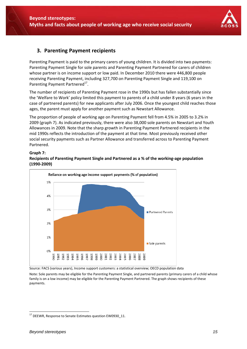![](_page_14_Picture_1.jpeg)

## **3. Parenting Payment recipients**

Parenting Payment is paid to the primary carers of young children. It is divided into two payments: Parenting Payment Single for sole parents and Parenting Payment Partnered for carers of children whose partner is on income support or low paid. In December 2010 there were 446,800 people receiving Parenting Payment, including 327,700 on Parenting Payment Single and 119,100 on Parenting Payment Partnered<sup>17</sup>.

The number of recipients of Parenting Payment rose in the 1990s but has fallen substantially since the 'Welfare to Work' policy limited this payment to parents of a child under 8 years (6 years in the case of partnered parents) for new applicants after July 2006. Once the youngest child reaches those ages, the parent must apply for another payment such as Newstart Allowance.

The proportion of people of working age on Parenting Payment fell from 4.5% in 2005 to 3.2% in 2009 (graph 7). As indicated previously, there were also 38,000 sole parents on Newstart and Youth Allowances in 2009. Note that the sharp growth in Parenting Payment Partnered recipients in the mid 1990s reflects the introduction of the payment at that time. Most previously received other social security payments such as Partner Allowance and transferred across to Parenting Payment Partnered.

#### **Graph 7:**

#### **Recipients of Parenting Payment Single and Partnered as a % of the working‐age population (1990‐2009)**

![](_page_14_Figure_8.jpeg)

Source: FACS (various years), Income support customers: a statistical overview; OECD population data

Note: Sole parents may be eligible for the Parenting Payment Single, and partnered parents (primary carers of a child whose family is on a low income) may be eligible for the Parenting Payment Partnered. The graph shows recipients of these payments.

<sup>-</sup><sup>17</sup> DEEWR, Response to Senate Estimates question EW0930\_11.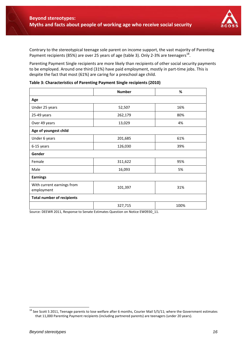![](_page_15_Picture_1.jpeg)

Contrary to the stereotypical teenage sole parent on income support, the vast majority of Parenting Payment recipients (85%) are over 25 years of age (table 3). Only 2-3% are teenagers<sup>18</sup>.

Parenting Payment Single recipients are more likely than recipients of other social security payments to be employed. Around one third (31%) have paid employment, mostly in part-time jobs. This is despite the fact that most (61%) are caring for a preschool age child.

|                                          | <b>Number</b>  | %    |  |
|------------------------------------------|----------------|------|--|
| Age                                      |                |      |  |
| Under 25 years                           | 52,507         | 16%  |  |
| 25-49 years                              | 262,179        | 80%  |  |
| Over 49 years                            | 13,029<br>4%   |      |  |
| Age of youngest child                    |                |      |  |
| Under 6 years                            | 201,685        | 61%  |  |
| 6-15 years                               | 126,030<br>39% |      |  |
| Gender                                   |                |      |  |
| Female                                   | 95%<br>311,622 |      |  |
| Male                                     | 16,093         | 5%   |  |
| <b>Earnings</b>                          |                |      |  |
| With current earnings from<br>employment | 101,397        | 31%  |  |
| <b>Total number of recipients</b>        |                |      |  |
|                                          | 327,715        | 100% |  |

| Table 3: Characteristics of Parenting Payment Single recipients (2010) |  |  |  |  |
|------------------------------------------------------------------------|--|--|--|--|
|------------------------------------------------------------------------|--|--|--|--|

Source: DEEWR 2011, Response to Senate Estimates Question on Notice EW0930\_11.

 $^{18}$  See Scott S 2011, Teenage parents to lose welfare after 6 months, Courier Mail 5/5/11; where the Government estimates that 11,000 Parenting Payment recipients (including partnered parents) are teenagers (under 20 years).